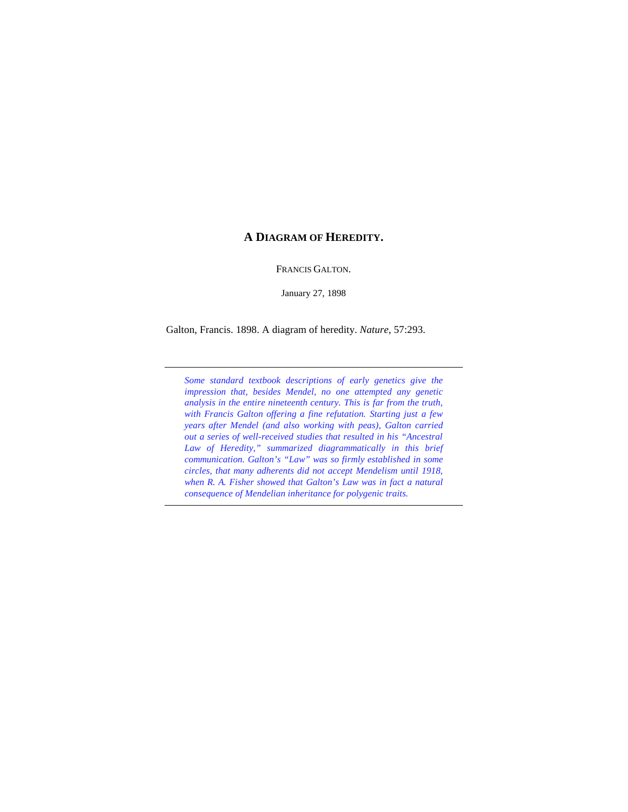## **A DIAGRAM OF HEREDITY.**

FRANCIS GALTON.

January 27, 1898

Galton, Francis. 1898. A diagram of heredity. *Nature*, 57:293.

*Some standard textbook descriptions of early genetics give the impression that, besides Mendel, no one attempted any genetic analysis in the entire nineteenth century. This is far from the truth, with Francis Galton offering a fine refutation. Starting just a few years after Mendel (and also working with peas), Galton carried out a series of well-received studies that resulted in his "Ancestral Law of Heredity," summarized diagrammatically in this brief communication. Galton's "Law" was so firmly established in some circles, that many adherents did not accept Mendelism until 1918, when R. A. Fisher showed that Galton's Law was in fact a natural consequence of Mendelian inheritance for polygenic traits.*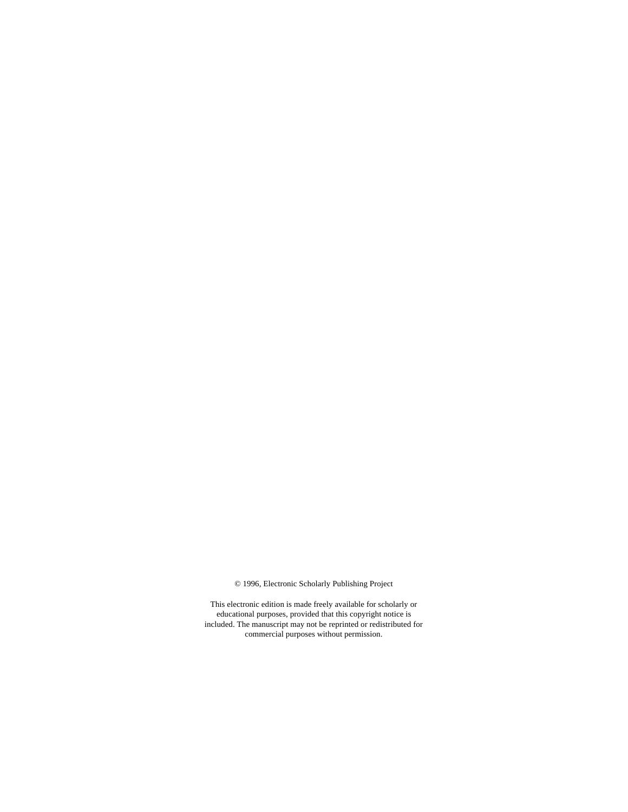© 1996, Electronic Scholarly Publishing Project

This electronic edition is made freely available for scholarly or educational purposes, provided that this copyright notice is included. The manuscript may not be reprinted or redistributed for commercial purposes without permission.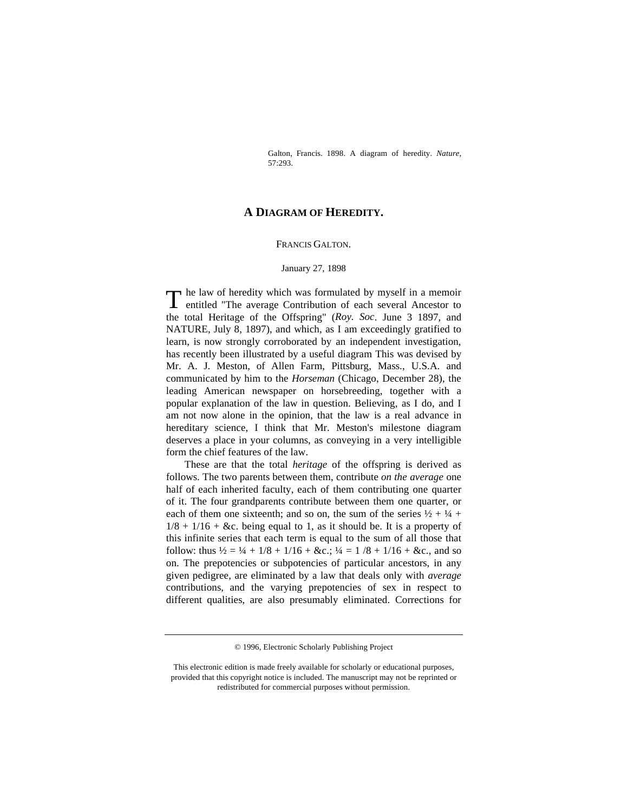Galton, Francis. 1898. A diagram of heredity. *Nature*, 57:293.

## **A DIAGRAM OF HEREDITY.**

## FRANCIS GALTON.

## January 27, 1898

he law of heredity which was formulated by myself in a memoir The law of heredity which was formulated by myself in a memoir<br>entitled "The average Contribution of each several Ancestor to the total Heritage of the Offspring" (*Roy. Soc*. June 3 1897, and NATURE, July 8, 1897), and which, as I am exceedingly gratified to learn, is now strongly corroborated by an independent investigation, has recently been illustrated by a useful diagram This was devised by Mr. A. J. Meston, of Allen Farm, Pittsburg, Mass., U.S.A. and communicated by him to the *Horseman* (Chicago, December 28), the leading American newspaper on horsebreeding, together with a popular explanation of the law in question. Believing, as I do, and I am not now alone in the opinion, that the law is a real advance in hereditary science, I think that Mr. Meston's milestone diagram deserves a place in your columns, as conveying in a very intelligible form the chief features of the law.

These are that the total *heritage* of the offspring is derived as follows. The two parents between them, contribute *on the average* one half of each inherited faculty, each of them contributing one quarter of it. The four grandparents contribute between them one quarter, or each of them one sixteenth; and so on, the sum of the series  $\frac{1}{2} + \frac{1}{4} + \frac{1}{4}$  $1/8 + 1/16 + \&c$ . being equal to 1, as it should be. It is a property of this infinite series that each term is equal to the sum of all those that follow: thus  $\frac{1}{2} = \frac{1}{4} + \frac{1}{8} + \frac{1}{16} + \&c$ ;  $\frac{1}{4} = \frac{1}{8} + \frac{1}{16} + \&c$ , and so on. The prepotencies or subpotencies of particular ancestors, in any given pedigree, are eliminated by a law that deals only with *average* contributions, and the varying prepotencies of sex in respect to different qualities, are also presumably eliminated. Corrections for

<sup>© 1996,</sup> Electronic Scholarly Publishing Project

This electronic edition is made freely available for scholarly or educational purposes, provided that this copyright notice is included. The manuscript may not be reprinted or redistributed for commercial purposes without permission.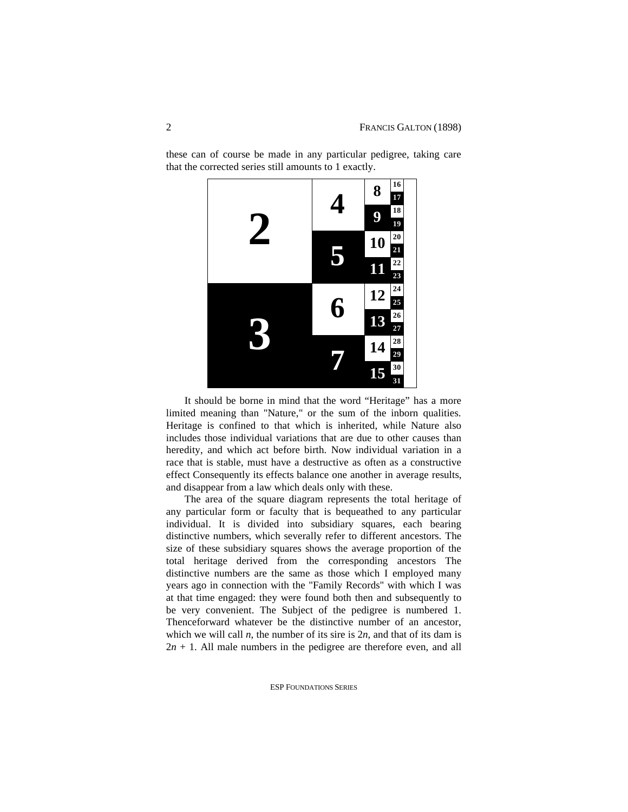

these can of course be made in any particular pedigree, taking care that the corrected series still amounts to 1 exactly.

It should be borne in mind that the word "Heritage" has a more limited meaning than "Nature," or the sum of the inborn qualities. Heritage is confined to that which is inherited, while Nature also includes those individual variations that are due to other causes than heredity, and which act before birth. Now individual variation in a race that is stable, must have a destructive as often as a constructive effect Consequently its effects balance one another in average results, and disappear from a law which deals only with these.

The area of the square diagram represents the total heritage of any particular form or faculty that is bequeathed to any particular individual. It is divided into subsidiary squares, each bearing distinctive numbers, which severally refer to different ancestors. The size of these subsidiary squares shows the average proportion of the total heritage derived from the corresponding ancestors The distinctive numbers are the same as those which I employed many years ago in connection with the "Family Records" with which I was at that time engaged: they were found both then and subsequently to be very convenient. The Subject of the pedigree is numbered 1. Thenceforward whatever be the distinctive number of an ancestor, which we will call  $n$ , the number of its sire is  $2n$ , and that of its dam is  $2n + 1$ . All male numbers in the pedigree are therefore even, and all